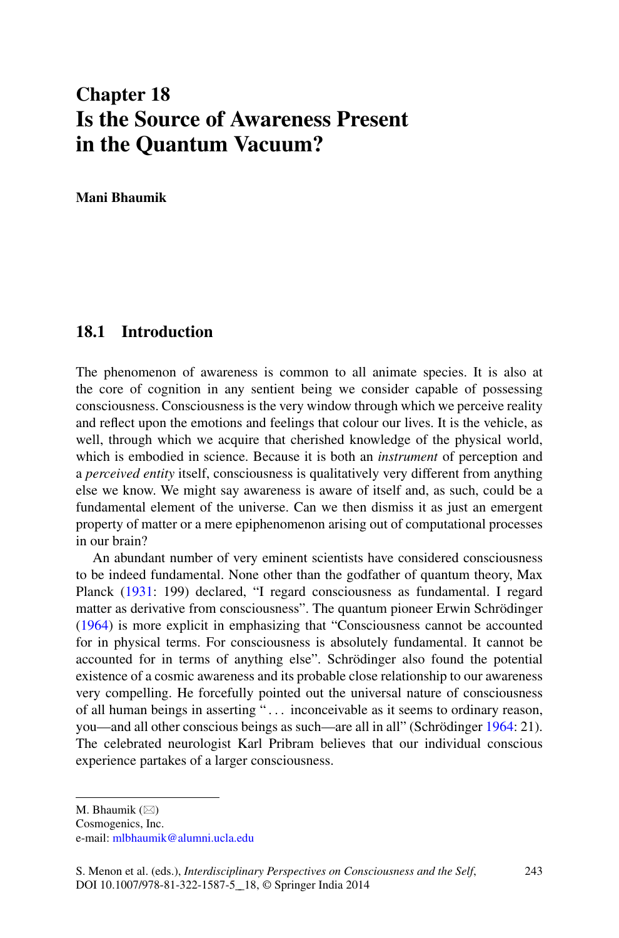# **Chapter 18 Is the Source of Awareness Present in the Quantum Vacuum?**

**Mani Bhaumik**

## **18.1 Introduction**

The phenomenon of awareness is common to all animate species. It is also at the core of cognition in any sentient being we consider capable of possessing consciousness. Consciousness is the very window through which we perceive reality and reflect upon the emotions and feelings that colour our lives. It is the vehicle, as well, through which we acquire that cherished knowledge of the physical world, which is embodied in science. Because it is both an *instrument* of perception and a *perceived entity* itself, consciousness is qualitatively very different from anything else we know. We might say awareness is aware of itself and, as such, could be a fundamental element of the universe. Can we then dismiss it as just an emergent property of matter or a mere epiphenomenon arising out of computational processes in our brain?

An abundant number of very eminent scientists have considered consciousness to be indeed fundamental. None other than the godfather of quantum theory, Max Planck [\(1931:](#page-9-0) 199) declared, "I regard consciousness as fundamental. I regard matter as derivative from consciousness". The quantum pioneer Erwin Schrödinger [\(1964\)](#page-9-1) is more explicit in emphasizing that "Consciousness cannot be accounted for in physical terms. For consciousness is absolutely fundamental. It cannot be accounted for in terms of anything else". Schrödinger also found the potential existence of a cosmic awareness and its probable close relationship to our awareness very compelling. He forcefully pointed out the universal nature of consciousness of all human beings in asserting "... inconceivable as it seems to ordinary reason, you—and all other conscious beings as such—are all in all" (Schrödinger [1964:](#page-9-1) 21). The celebrated neurologist Karl Pribram believes that our individual conscious experience partakes of a larger consciousness.

Cosmogenics, Inc.

e-mail: [mlbhaumik@alumni.ucla.edu](mailto:mlbhaumik@alumni.ucla.edu)

M. Bhaumik  $(\boxtimes)$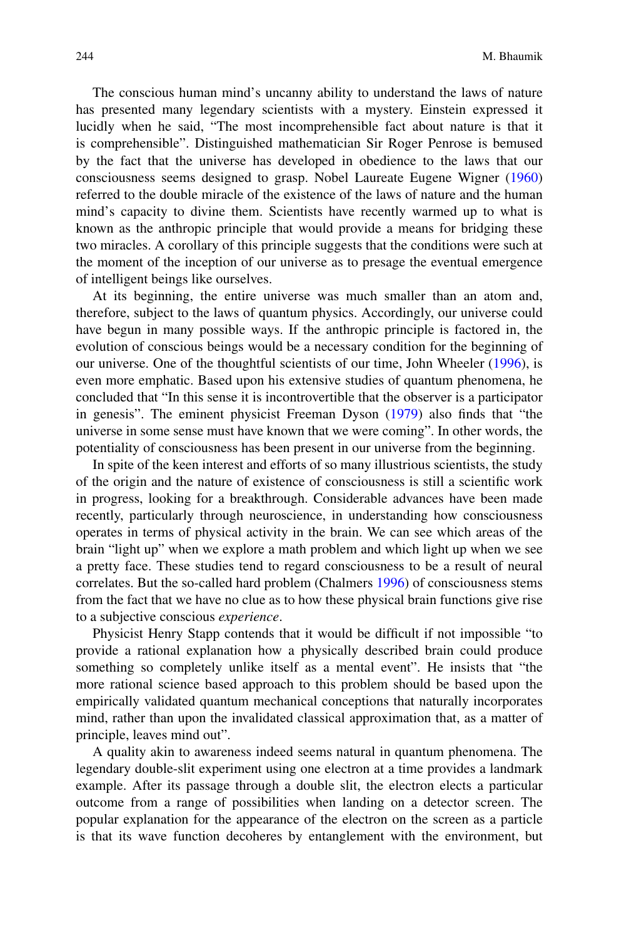The conscious human mind's uncanny ability to understand the laws of nature has presented many legendary scientists with a mystery. Einstein expressed it lucidly when he said, "The most incomprehensible fact about nature is that it is comprehensible". Distinguished mathematician Sir Roger Penrose is bemused by the fact that the universe has developed in obedience to the laws that our consciousness seems designed to grasp. Nobel Laureate Eugene Wigner [\(1960\)](#page-9-2) referred to the double miracle of the existence of the laws of nature and the human mind's capacity to divine them. Scientists have recently warmed up to what is known as the anthropic principle that would provide a means for bridging these two miracles. A corollary of this principle suggests that the conditions were such at the moment of the inception of our universe as to presage the eventual emergence of intelligent beings like ourselves.

At its beginning, the entire universe was much smaller than an atom and, therefore, subject to the laws of quantum physics. Accordingly, our universe could have begun in many possible ways. If the anthropic principle is factored in, the evolution of conscious beings would be a necessary condition for the beginning of our universe. One of the thoughtful scientists of our time, John Wheeler [\(1996\)](#page-9-3), is even more emphatic. Based upon his extensive studies of quantum phenomena, he concluded that "In this sense it is incontrovertible that the observer is a participator in genesis". The eminent physicist Freeman Dyson [\(1979\)](#page-9-4) also finds that "the universe in some sense must have known that we were coming". In other words, the potentiality of consciousness has been present in our universe from the beginning.

In spite of the keen interest and efforts of so many illustrious scientists, the study of the origin and the nature of existence of consciousness is still a scientific work in progress, looking for a breakthrough. Considerable advances have been made recently, particularly through neuroscience, in understanding how consciousness operates in terms of physical activity in the brain. We can see which areas of the brain "light up" when we explore a math problem and which light up when we see a pretty face. These studies tend to regard consciousness to be a result of neural correlates. But the so-called hard problem (Chalmers [1996\)](#page-9-5) of consciousness stems from the fact that we have no clue as to how these physical brain functions give rise to a subjective conscious *experience*.

Physicist Henry Stapp contends that it would be difficult if not impossible "to provide a rational explanation how a physically described brain could produce something so completely unlike itself as a mental event". He insists that "the more rational science based approach to this problem should be based upon the empirically validated quantum mechanical conceptions that naturally incorporates mind, rather than upon the invalidated classical approximation that, as a matter of principle, leaves mind out".

A quality akin to awareness indeed seems natural in quantum phenomena. The legendary double-slit experiment using one electron at a time provides a landmark example. After its passage through a double slit, the electron elects a particular outcome from a range of possibilities when landing on a detector screen. The popular explanation for the appearance of the electron on the screen as a particle is that its wave function decoheres by entanglement with the environment, but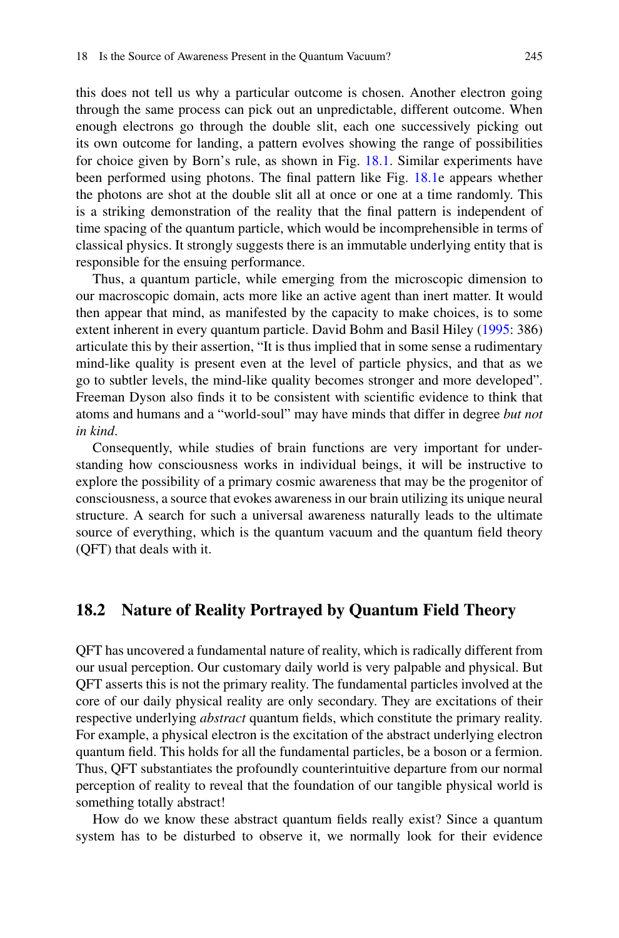this does not tell us why a particular outcome is chosen. Another electron going through the same process can pick out an unpredictable, different outcome. When enough electrons go through the double slit, each one successively picking out its own outcome for landing, a pattern evolves showing the range of possibilities for choice given by Born's rule, as shown in Fig. [18.1.](#page-3-0) Similar experiments have been performed using photons. The final pattern like Fig. [18.1e](#page-3-0) appears whether the photons are shot at the double slit all at once or one at a time randomly. This is a striking demonstration of the reality that the final pattern is independent of time spacing of the quantum particle, which would be incomprehensible in terms of classical physics. It strongly suggests there is an immutable underlying entity that is responsible for the ensuing performance.

Thus, a quantum particle, while emerging from the microscopic dimension to our macroscopic domain, acts more like an active agent than inert matter. It would then appear that mind, as manifested by the capacity to make choices, is to some extent inherent in every quantum particle. David Bohm and Basil Hiley [\(1995:](#page-9-6) 386) articulate this by their assertion, "It is thus implied that in some sense a rudimentary mind-like quality is present even at the level of particle physics, and that as we go to subtler levels, the mind-like quality becomes stronger and more developed". Freeman Dyson also finds it to be consistent with scientific evidence to think that atoms and humans and a "world-soul" may have minds that differ in degree *but not in kind*.

Consequently, while studies of brain functions are very important for understanding how consciousness works in individual beings, it will be instructive to explore the possibility of a primary cosmic awareness that may be the progenitor of consciousness, a source that evokes awareness in our brain utilizing its unique neural structure. A search for such a universal awareness naturally leads to the ultimate source of everything, which is the quantum vacuum and the quantum field theory (QFT) that deals with it.

## **18.2 Nature of Reality Portrayed by Quantum Field Theory**

QFT has uncovered a fundamental nature of reality, which is radically different from our usual perception. Our customary daily world is very palpable and physical. But QFT asserts this is not the primary reality. The fundamental particles involved at the core of our daily physical reality are only secondary. They are excitations of their respective underlying *abstract* quantum fields, which constitute the primary reality. For example, a physical electron is the excitation of the abstract underlying electron quantum field. This holds for all the fundamental particles, be a boson or a fermion. Thus, QFT substantiates the profoundly counterintuitive departure from our normal perception of reality to reveal that the foundation of our tangible physical world is something totally abstract!

How do we know these abstract quantum fields really exist? Since a quantum system has to be disturbed to observe it, we normally look for their evidence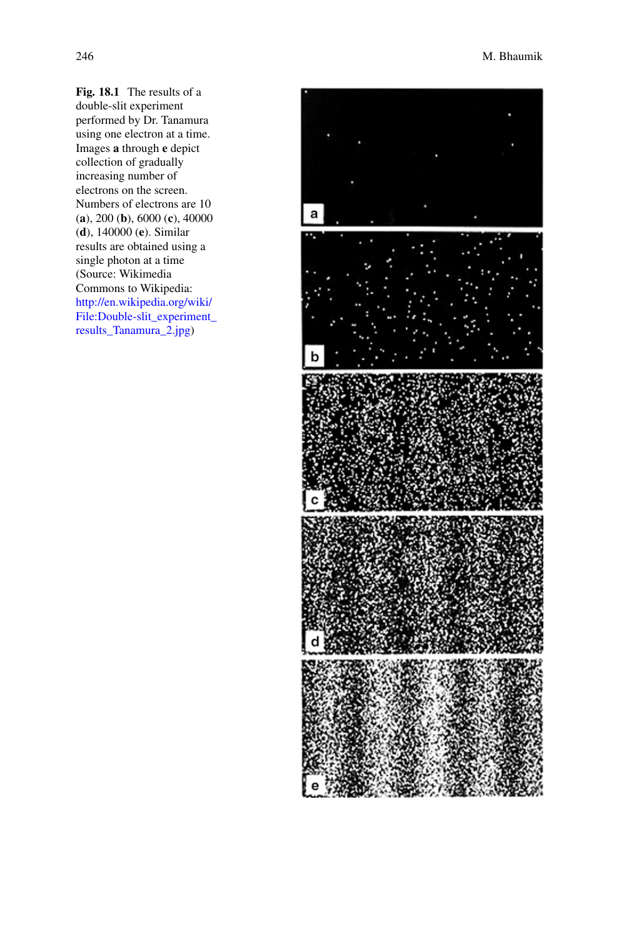<span id="page-3-0"></span>**Fig. 18.1** The results of a double-slit experiment performed by Dr. Tanamura using one electron at a time. Images **a** through **e** depict collection of gradually increasing number of electrons on the screen. Numbers of electrons are 10 (**a**), 200 (**b**), 6000 (**c**), 40000 (**d**), 140000 (**e**). Similar results are obtained using a single photon at a time (Source: Wikimedia Commons to Wikipedia: http://en.wikipedia.org/wiki/ [File:Double-slit\\_experiment\\_](http://en.wikipedia.org/wiki/File:Double-slit_experiment_results_Tanamura_2.jpg) results\_Tanamura\_2.jpg )

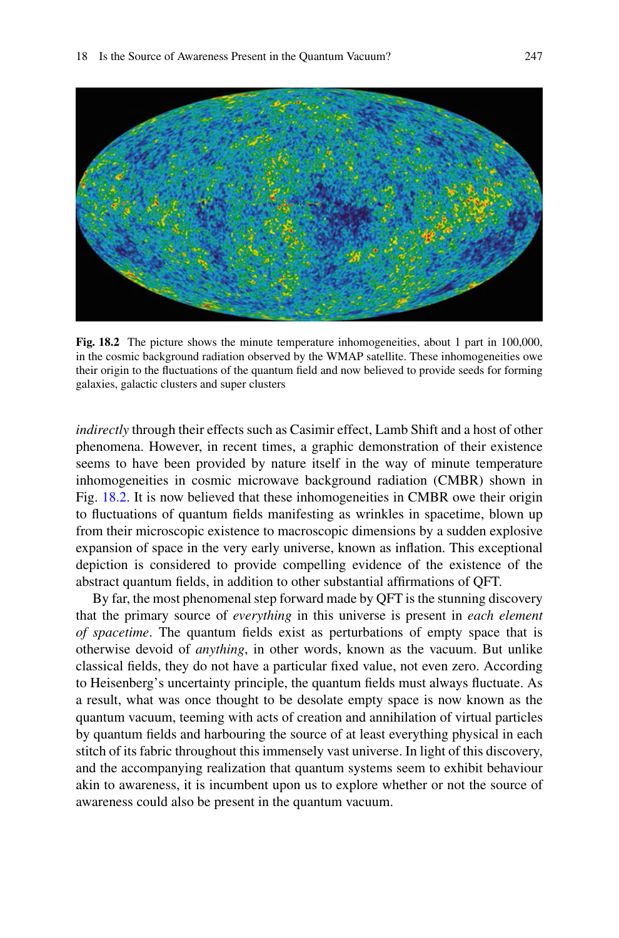

<span id="page-4-0"></span>**Fig. 18.2** The picture shows the minute temperature inhomogeneities, about 1 part in 100,000, in the cosmic background radiation observed by the WMAP satellite. These inhomogeneities owe their origin to the fluctuations of the quantum field and now believed to provide seeds for forming galaxies, galactic clusters and super clusters

*indirectly* through their effects such as Casimir effect, Lamb Shift and a host of other phenomena. However, in recent times, a graphic demonstration of their existence seems to have been provided by nature itself in the way of minute temperature inhomogeneities in cosmic microwave background radiation (CMBR) shown in Fig. [18.2.](#page-4-0) It is now believed that these inhomogeneities in CMBR owe their origin to fluctuations of quantum fields manifesting as wrinkles in spacetime, blown up from their microscopic existence to macroscopic dimensions by a sudden explosive expansion of space in the very early universe, known as inflation. This exceptional depiction is considered to provide compelling evidence of the existence of the abstract quantum fields, in addition to other substantial affirmations of QFT.

By far, the most phenomenal step forward made by QFT is the stunning discovery that the primary source of *everything* in this universe is present in *each element of spacetime*. The quantum fields exist as perturbations of empty space that is otherwise devoid of *anything*, in other words, known as the vacuum. But unlike classical fields, they do not have a particular fixed value, not even zero. According to Heisenberg's uncertainty principle, the quantum fields must always fluctuate. As a result, what was once thought to be desolate empty space is now known as the quantum vacuum, teeming with acts of creation and annihilation of virtual particles by quantum fields and harbouring the source of at least everything physical in each stitch of its fabric throughout this immensely vast universe. In light of this discovery, and the accompanying realization that quantum systems seem to exhibit behaviour akin to awareness, it is incumbent upon us to explore whether or not the source of awareness could also be present in the quantum vacuum.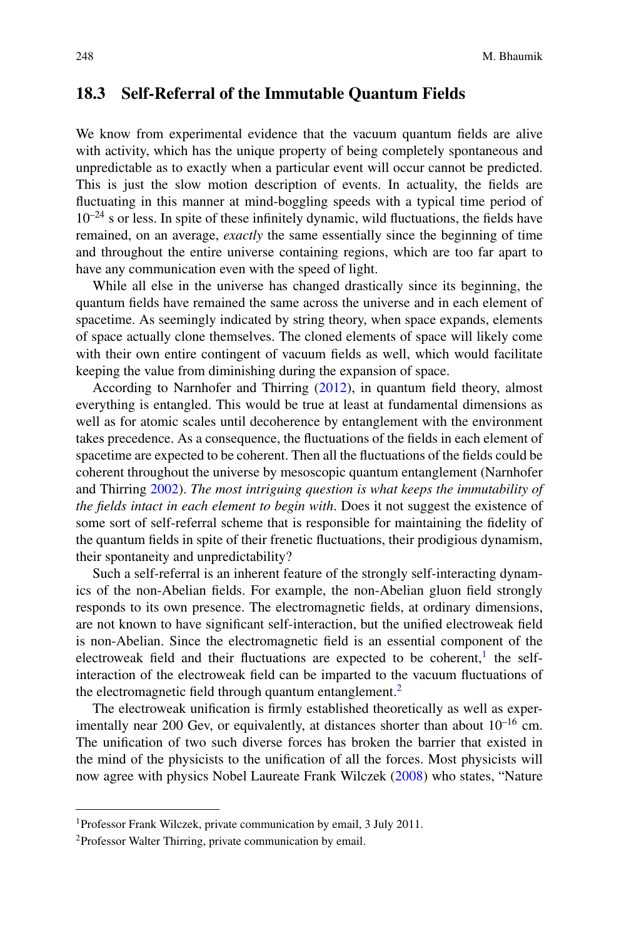### **18.3 Self-Referral of the Immutable Quantum Fields**

We know from experimental evidence that the vacuum quantum fields are alive with activity, which has the unique property of being completely spontaneous and unpredictable as to exactly when a particular event will occur cannot be predicted. This is just the slow motion description of events. In actuality, the fields are fluctuating in this manner at mind-boggling speeds with a typical time period of  $10^{-24}$  s or less. In spite of these infinitely dynamic, wild fluctuations, the fields have remained, on an average, *exactly* the same essentially since the beginning of time and throughout the entire universe containing regions, which are too far apart to have any communication even with the speed of light.

While all else in the universe has changed drastically since its beginning, the quantum fields have remained the same across the universe and in each element of spacetime. As seemingly indicated by string theory, when space expands, elements of space actually clone themselves. The cloned elements of space will likely come with their own entire contingent of vacuum fields as well, which would facilitate keeping the value from diminishing during the expansion of space.

According to Narnhofer and Thirring [\(2012\)](#page-9-7), in quantum field theory, almost everything is entangled. This would be true at least at fundamental dimensions as well as for atomic scales until decoherence by entanglement with the environment takes precedence. As a consequence, the fluctuations of the fields in each element of spacetime are expected to be coherent. Then all the fluctuations of the fields could be coherent throughout the universe by mesoscopic quantum entanglement (Narnhofer and Thirring [2002\)](#page-9-8). *The most intriguing question is what keeps the immutability of the fields intact in each element to begin with*. Does it not suggest the existence of some sort of self-referral scheme that is responsible for maintaining the fidelity of the quantum fields in spite of their frenetic fluctuations, their prodigious dynamism, their spontaneity and unpredictability?

Such a self-referral is an inherent feature of the strongly self-interacting dynamics of the non-Abelian fields. For example, the non-Abelian gluon field strongly responds to its own presence. The electromagnetic fields, at ordinary dimensions, are not known to have significant self-interaction, but the unified electroweak field is non-Abelian. Since the electromagnetic field is an essential component of the electroweak field and their fluctuations are expected to be coherent,<sup>1</sup> the selfinteraction of the electroweak field can be imparted to the vacuum fluctuations of the electromagnetic field through quantum entanglement.<sup>2</sup>

The electroweak unification is firmly established theoretically as well as experimentally near 200 Gev, or equivalently, at distances shorter than about  $10^{-16}$  cm. The unification of two such diverse forces has broken the barrier that existed in the mind of the physicists to the unification of all the forces. Most physicists will now agree with physics Nobel Laureate Frank Wilczek [\(2008\)](#page-9-9) who states, "Nature

<span id="page-5-0"></span><sup>1</sup>Professor Frank Wilczek, private communication by email, 3 July 2011.

<span id="page-5-1"></span><sup>2</sup>Professor Walter Thirring, private communication by email.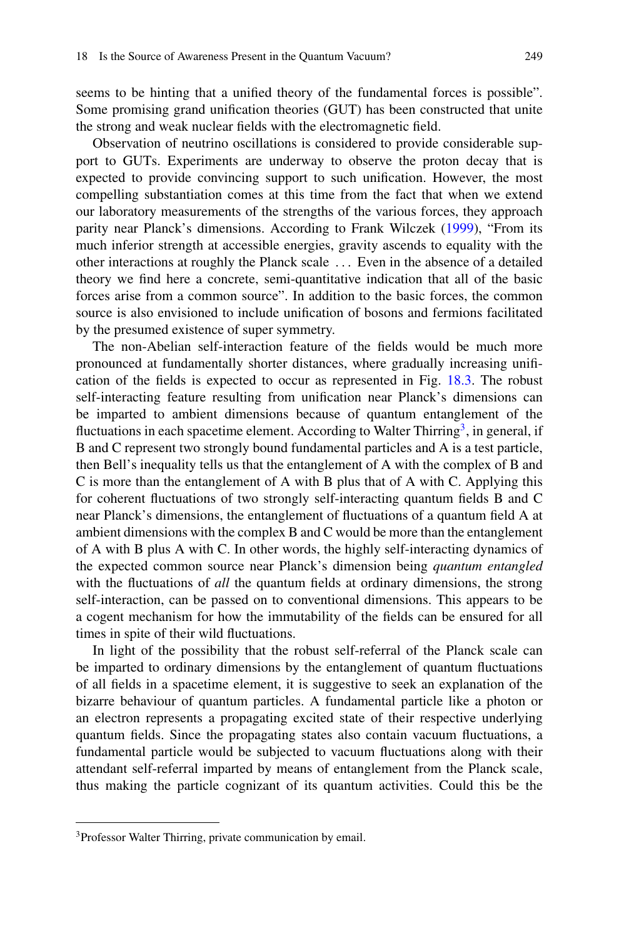seems to be hinting that a unified theory of the fundamental forces is possible". Some promising grand unification theories (GUT) has been constructed that unite the strong and weak nuclear fields with the electromagnetic field.

Observation of neutrino oscillations is considered to provide considerable support to GUTs. Experiments are underway to observe the proton decay that is expected to provide convincing support to such unification. However, the most compelling substantiation comes at this time from the fact that when we extend our laboratory measurements of the strengths of the various forces, they approach parity near Planck's dimensions. According to Frank Wilczek [\(1999\)](#page-9-10), "From its much inferior strength at accessible energies, gravity ascends to equality with the other interactions at roughly the Planck scale ::: Even in the absence of a detailed theory we find here a concrete, semi-quantitative indication that all of the basic forces arise from a common source". In addition to the basic forces, the common source is also envisioned to include unification of bosons and fermions facilitated by the presumed existence of super symmetry.

The non-Abelian self-interaction feature of the fields would be much more pronounced at fundamentally shorter distances, where gradually increasing unification of the fields is expected to occur as represented in Fig. [18.3.](#page-7-0) The robust self-interacting feature resulting from unification near Planck's dimensions can be imparted to ambient dimensions because of quantum entanglement of the fluctuations in each spacetime element. According to Walter Thirring<sup>3</sup>, in general, if B and C represent two strongly bound fundamental particles and A is a test particle, then Bell's inequality tells us that the entanglement of A with the complex of B and C is more than the entanglement of A with B plus that of A with C. Applying this for coherent fluctuations of two strongly self-interacting quantum fields B and C near Planck's dimensions, the entanglement of fluctuations of a quantum field A at ambient dimensions with the complex B and C would be more than the entanglement of A with B plus A with C. In other words, the highly self-interacting dynamics of the expected common source near Planck's dimension being *quantum entangled* with the fluctuations of *all* the quantum fields at ordinary dimensions, the strong self-interaction, can be passed on to conventional dimensions. This appears to be a cogent mechanism for how the immutability of the fields can be ensured for all times in spite of their wild fluctuations.

In light of the possibility that the robust self-referral of the Planck scale can be imparted to ordinary dimensions by the entanglement of quantum fluctuations of all fields in a spacetime element, it is suggestive to seek an explanation of the bizarre behaviour of quantum particles. A fundamental particle like a photon or an electron represents a propagating excited state of their respective underlying quantum fields. Since the propagating states also contain vacuum fluctuations, a fundamental particle would be subjected to vacuum fluctuations along with their attendant self-referral imparted by means of entanglement from the Planck scale, thus making the particle cognizant of its quantum activities. Could this be the

<span id="page-6-0"></span><sup>&</sup>lt;sup>3</sup>Professor Walter Thirring, private communication by email.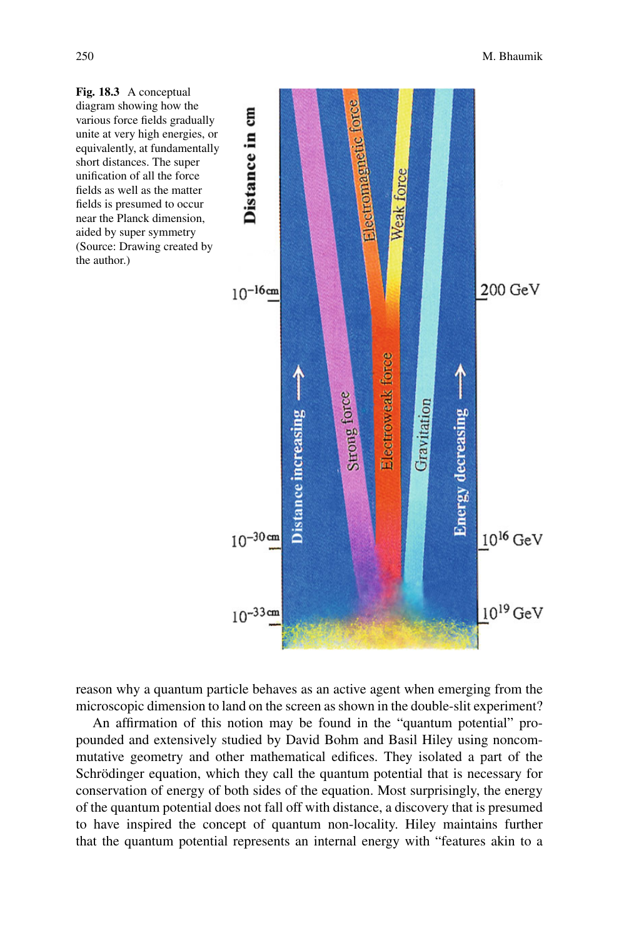<span id="page-7-0"></span>

reason why a quantum particle behaves as an active agent when emerging from the microscopic dimension to land on the screen as shown in the double-slit experiment?

An affirmation of this notion may be found in the "quantum potential" propounded and extensively studied by David Bohm and Basil Hiley using noncommutative geometry and other mathematical edifices. They isolated a part of the Schrödinger equation, which they call the quantum potential that is necessary for conservation of energy of both sides of the equation. Most surprisingly, the energy of the quantum potential does not fall off with distance, a discovery that is presumed to have inspired the concept of quantum non-locality. Hiley maintains further that the quantum potential represents an internal energy with "features akin to a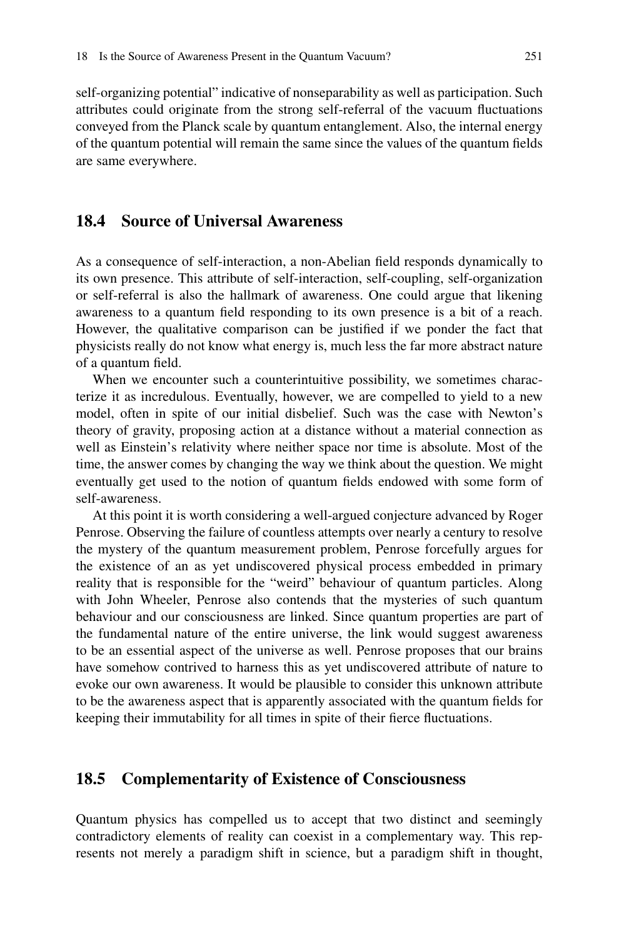self-organizing potential" indicative of nonseparability as well as participation. Such attributes could originate from the strong self-referral of the vacuum fluctuations conveyed from the Planck scale by quantum entanglement. Also, the internal energy of the quantum potential will remain the same since the values of the quantum fields are same everywhere.

## **18.4 Source of Universal Awareness**

As a consequence of self-interaction, a non-Abelian field responds dynamically to its own presence. This attribute of self-interaction, self-coupling, self-organization or self-referral is also the hallmark of awareness. One could argue that likening awareness to a quantum field responding to its own presence is a bit of a reach. However, the qualitative comparison can be justified if we ponder the fact that physicists really do not know what energy is, much less the far more abstract nature of a quantum field.

When we encounter such a counterintuitive possibility, we sometimes characterize it as incredulous. Eventually, however, we are compelled to yield to a new model, often in spite of our initial disbelief. Such was the case with Newton's theory of gravity, proposing action at a distance without a material connection as well as Einstein's relativity where neither space nor time is absolute. Most of the time, the answer comes by changing the way we think about the question. We might eventually get used to the notion of quantum fields endowed with some form of self-awareness.

At this point it is worth considering a well-argued conjecture advanced by Roger Penrose. Observing the failure of countless attempts over nearly a century to resolve the mystery of the quantum measurement problem, Penrose forcefully argues for the existence of an as yet undiscovered physical process embedded in primary reality that is responsible for the "weird" behaviour of quantum particles. Along with John Wheeler, Penrose also contends that the mysteries of such quantum behaviour and our consciousness are linked. Since quantum properties are part of the fundamental nature of the entire universe, the link would suggest awareness to be an essential aspect of the universe as well. Penrose proposes that our brains have somehow contrived to harness this as yet undiscovered attribute of nature to evoke our own awareness. It would be plausible to consider this unknown attribute to be the awareness aspect that is apparently associated with the quantum fields for keeping their immutability for all times in spite of their fierce fluctuations.

#### **18.5 Complementarity of Existence of Consciousness**

Quantum physics has compelled us to accept that two distinct and seemingly contradictory elements of reality can coexist in a complementary way. This represents not merely a paradigm shift in science, but a paradigm shift in thought,